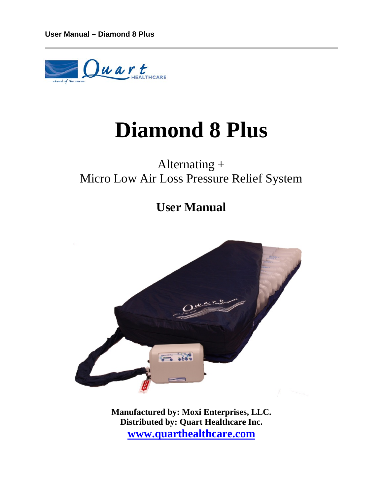

# **Diamond 8 Plus**

# Alternating + Micro Low Air Loss Pressure Relief System

# **User Manual**



**Manufactured by: Moxi Enterprises, LLC. Distributed by: Quart Healthcare Inc. [www.quarthealthcare.com](http://www.quarthealthcare.com/)**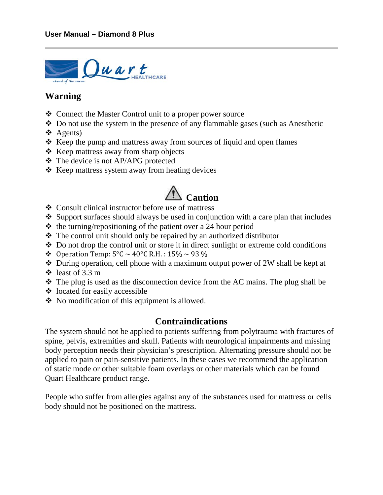

#### **Warning**

- ❖ Connect the Master Control unit to a proper power source
- Do not use the system in the presence of any flammable gases (such as Anesthetic
- ❖ Agents)
- $\triangle$  Keep the pump and mattress away from sources of liquid and open flames
- $\triangle$  Keep mattress away from sharp objects
- The device is not AP/APG protected
- $\triangle$  Keep mattress system away from heating devices

# **Caution**

- Consult clinical instructor before use of mattress
- $\bullet$  Support surfaces should always be used in conjunction with a care plan that includes
- $\triangleleft$  the turning/repositioning of the patient over a 24 hour period
- $\triangle$  The control unit should only be repaired by an authorized distributor
- Do not drop the control unit or store it in direct sunlight or extreme cold conditions
- $\bullet$  Operation Temp:  $5^{\circ}$ C ~ 40°C R.H.: 15% ~ 93 %
- During operation, cell phone with a maximum output power of 2W shall be kept at
- $\div$  least of 3.3 m
- $\hat{\mathbf{\cdot}}$  The plug is used as the disconnection device from the AC mains. The plug shall be
- $\triangleleft$  located for easily accessible
- No modification of this equipment is allowed.

#### **Contraindications**

The system should not be applied to patients suffering from polytrauma with fractures of spine, pelvis, extremities and skull. Patients with neurological impairments and missing body perception needs their physician's prescription. Alternating pressure should not be applied to pain or pain-sensitive patients. In these cases we recommend the application of static mode or other suitable foam overlays or other materials which can be found Quart Healthcare product range.

People who suffer from allergies against any of the substances used for mattress or cells body should not be positioned on the mattress.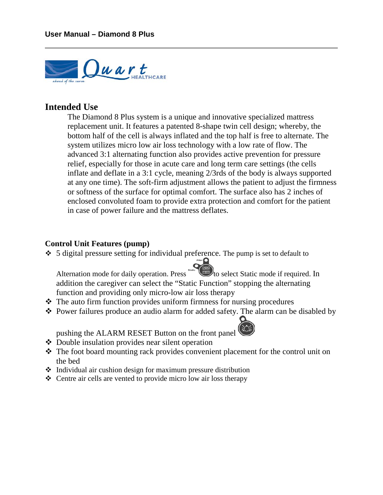

#### **Intended Use**

The Diamond 8 Plus system is a unique and innovative specialized mattress replacement unit. It features a patented 8-shape twin cell design; whereby, the bottom half of the cell is always inflated and the top half is free to alternate. The system utilizes micro low air loss technology with a low rate of flow. The advanced 3:1 alternating function also provides active prevention for pressure relief, especially for those in acute care and long term care settings (the cells inflate and deflate in a 3:1 cycle, meaning 2/3rds of the body is always supported at any one time). The soft-firm adjustment allows the patient to adjust the firmness or softness of the surface for optimal comfort. The surface also has 2 inches of enclosed convoluted foam to provide extra protection and comfort for the patient in case of power failure and the mattress deflates.

#### **Control Unit Features (pump)**

5 digital pressure setting for individual preference. The pump is set to default to<br>Alternation mode for daily operation. Press<br>the "Static Function" stopping the alternating<br>internating internation" stopping the alternati Alternation mode for daily operation. Press static addition the caregiver can select the "Static Function" stopping the alternating function and providing only micro-low air loss therapy

- $\triangle$  The auto firm function provides uniform firmness for nursing procedures
- Power failures produce an audio alarm for added safety. The alarm can be disabled by

pushing the ALARM RESET Button on the front panel

- Double insulation provides near silent operation
- The foot board mounting rack provides convenient placement for the control unit on the bed
- $\triangle$  Individual air cushion design for maximum pressure distribution
- Centre air cells are vented to provide micro low air loss therapy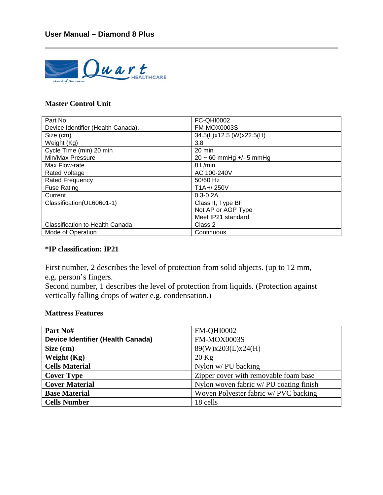

#### **Master Control Unit**

| Part No.                               | <b>FC-QHI0002</b>            |  |
|----------------------------------------|------------------------------|--|
| Device Identifier (Health Canada).     | FM-MOX0003S                  |  |
| Size (cm)                              | 34.5(L)x12.5 (W)x22.5(H)     |  |
| Weight (Kg)                            | 3.8                          |  |
| Cycle Time (min) 20 min                | 20 min                       |  |
| Min/Max Pressure                       | $20 \sim 60$ mmHg +/- 5 mmHg |  |
| Max Flow-rate                          | 8 L/min                      |  |
| Rated Voltage                          | AC 100-240V                  |  |
| <b>Rated Frequency</b>                 | 50/60 Hz                     |  |
| <b>Fuse Rating</b>                     | T1AH/250V                    |  |
| Current                                | $0.3 - 0.2A$                 |  |
| Classification(UL60601-1)              | Class II, Type BF            |  |
|                                        | Not AP or AGP Type           |  |
|                                        | Meet IP21 standard           |  |
| <b>Classification to Health Canada</b> | Class 2                      |  |
| Mode of Operation                      | Continuous                   |  |

#### **\*IP classification: IP21**

First number, 2 describes the level of protection from solid objects. (up to 12 mm, e.g. person's fingers.

Second number, 1 describes the level of protection from liquids. (Protection against vertically falling drops of water e.g. condensation.)

#### **Mattress Features**

| Part No#                                 | <b>FM-QHI0002</b>                      |  |
|------------------------------------------|----------------------------------------|--|
| <b>Device Identifier (Health Canada)</b> | <b>FM-MOX0003S</b>                     |  |
| Size (cm)                                | 89(W)x203(L)x24(H)                     |  |
| Weight (Kg)                              | $20$ Kg                                |  |
| <b>Cells Material</b>                    | Nylon w/PU backing                     |  |
| <b>Cover Type</b>                        | Zipper cover with removable foam base  |  |
| <b>Cover Material</b>                    | Nylon woven fabric w/PU coating finish |  |
| <b>Base Material</b>                     | Woven Polyester fabric w/ PVC backing  |  |
| <b>Cells Number</b>                      | 18 cells                               |  |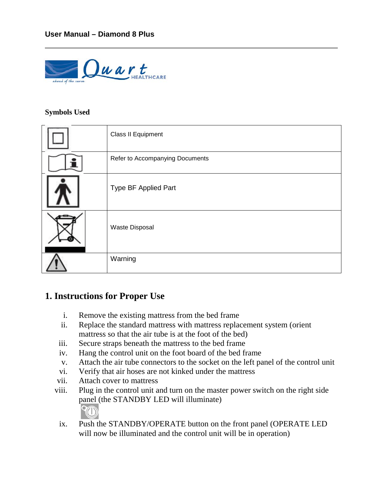

#### **Symbols Used**

| Class II Equipment              |
|---------------------------------|
| Refer to Accompanying Documents |
| Type BF Applied Part            |
| <b>Waste Disposal</b>           |
| Warning                         |

### **1. Instructions for Proper Use**

- i. Remove the existing mattress from the bed frame
- ii. Replace the standard mattress with mattress replacement system (orient mattress so that the air tube is at the foot of the bed)
- iii. Secure straps beneath the mattress to the bed frame
- iv. Hang the control unit on the foot board of the bed frame
- v. Attach the air tube connectors to the socket on the left panel of the control unit
- vi. Verify that air hoses are not kinked under the mattress
- vii. Attach cover to mattress
- viii. Plug in the control unit and turn on the master power switch on the right side panel (the STANDBY LED will illuminate)
	- ix. Push the STANDBY/OPERATE button on the front panel (OPERATE LED will now be illuminated and the control unit will be in operation)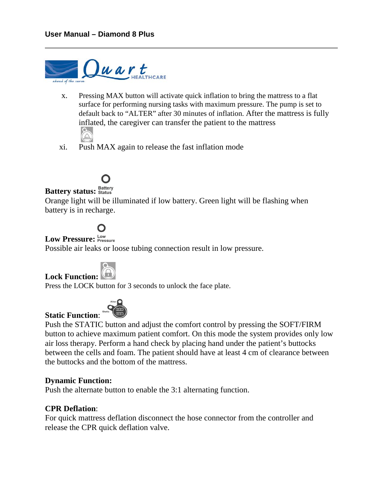

- x. Pressing MAX button will activate quick inflation to bring the mattress to a flat surface for performing nursing tasks with maximum pressure. The pump is set to default back to "ALTER" after 30 minutes of inflation. After the mattress is fully inflated, the caregiver can transfer the patient to the mattress
- xi. Push MAX again to release the fast inflation mode

### **Battery status: Battery**

Orange light will be illuminated if low battery. Green light will be flashing when battery is in recharge.

## O

### Low Pressure: **Low**<br>Pressure: Pressure

Possible air leaks or loose tubing connection result in low pressure.



Press the LOCK button for 3 seconds to unlock the face plate.



Push the STATIC button and adjust the comfort control by pressing the SOFT/FIRM button to achieve maximum patient comfort. On this mode the system provides only low air loss therapy. Perform a hand check by placing hand under the patient's buttocks between the cells and foam. The patient should have at least 4 cm of clearance between the buttocks and the bottom of the mattress.

#### **Dynamic Function:**

**Static Function**:

Push the alternate button to enable the 3:1 alternating function.

#### **CPR Deflation**:

For quick mattress deflation disconnect the hose connector from the controller and release the CPR quick deflation valve.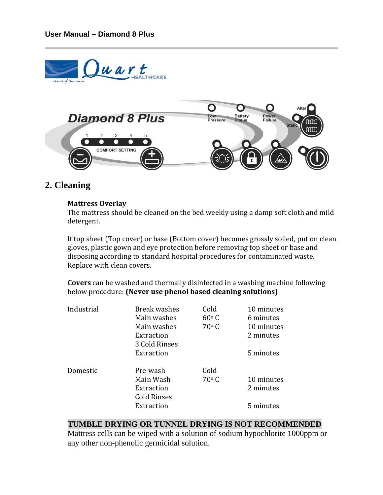

#### **2. Cleaning**

#### **Mattress Overlay**

The mattress should be cleaned on the bed weekly using a damp soft cloth and mild detergent.

If top sheet (Top cover) or base (Bottom cover) becomes grossly soiled, put on clean gloves, plastic gown and eye protection before removing top sheet or base and disposing according to standard hospital procedures for contaminated waste. Replace with clean covers.

**Covers** can be washed and thermally disinfected in a washing machine following below procedure: **(Never use phenol based cleaning solutions)**

| <b>Break washes</b> | Cold           | 10 minutes |
|---------------------|----------------|------------|
| Main washes         | $60^{\circ}$ C | 6 minutes  |
| Main washes         | $70^{\circ}$ C | 10 minutes |
| Extraction          |                | 2 minutes  |
| 3 Cold Rinses       |                |            |
| Extraction          |                | 5 minutes  |
|                     |                |            |
|                     |                |            |
| Main Wash           | $70^{\circ}$ C | 10 minutes |
| Extraction          |                | 2 minutes  |
| <b>Cold Rinses</b>  |                |            |
| Extraction          |                | 5 minutes  |
|                     | Pre-wash       | Cold       |

#### **TUMBLE DRYING OR TUNNEL DRYING IS NOT RECOMMENDED**

Mattress cells can be wiped with a solution of sodium hypochlorite 1000ppm or any other non-phenolic germicidal solution.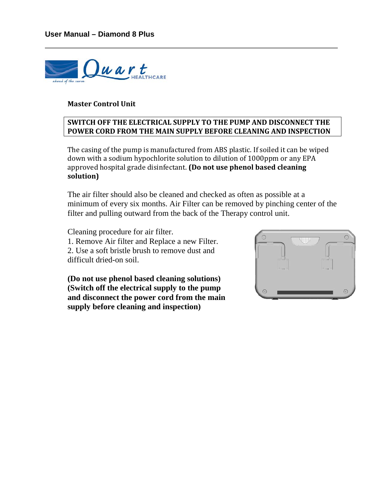

#### **Master Control Unit**

#### **SWITCH OFF THE ELECTRICAL SUPPLY TO THE PUMP AND DISCONNECT THE POWER CORD FROM THE MAIN SUPPLY BEFORE CLEANING AND INSPECTION**

The casing of the pump is manufactured from ABS plastic. If soiled it can be wiped down with a sodium hypochlorite solution to dilution of 1000ppm or any EPA approved hospital grade disinfectant. **(Do not use phenol based cleaning solution)**

The air filter should also be cleaned and checked as often as possible at a minimum of every six months. Air Filter can be removed by pinching center of the filter and pulling outward from the back of the Therapy control unit.

Cleaning procedure for air filter. 1. Remove Air filter and Replace a new Filter. 2. Use a soft bristle brush to remove dust and difficult dried-on soil.

**(Do not use phenol based cleaning solutions) (Switch off the electrical supply to the pump and disconnect the power cord from the main supply before cleaning and inspection)**

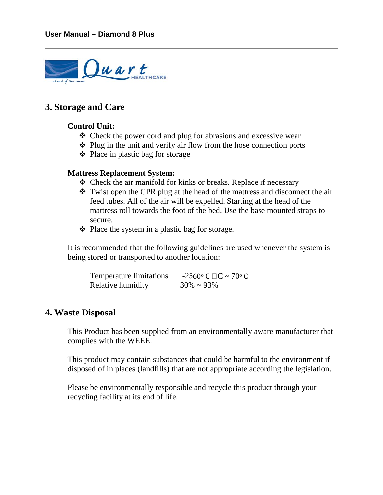

#### **3. Storage and Care**

#### **Control Unit:**

- Check the power cord and plug for abrasions and excessive wear
- $\triangle$  Plug in the unit and verify air flow from the hose connection ports
- ❖ Place in plastic bag for storage

#### **Mattress Replacement System:**

- Check the air manifold for kinks or breaks. Replace if necessary
- Twist open the CPR plug at the head of the mattress and disconnect the air feed tubes. All of the air will be expelled. Starting at the head of the mattress roll towards the foot of the bed. Use the base mounted straps to secure.
- $\triangle$  Place the system in a plastic bag for storage.

It is recommended that the following guidelines are used whenever the system is being stored or transported to another location:

| Temperature limitations | $-2560$ ° C $\Box$ C ~ 70° C |
|-------------------------|------------------------------|
| Relative humidity       | $30\% \sim 93\%$             |

#### **4. Waste Disposal**

This Product has been supplied from an environmentally aware manufacturer that complies with the WEEE.

This product may contain substances that could be harmful to the environment if disposed of in places (landfills) that are not appropriate according the legislation.

Please be environmentally responsible and recycle this product through your recycling facility at its end of life.